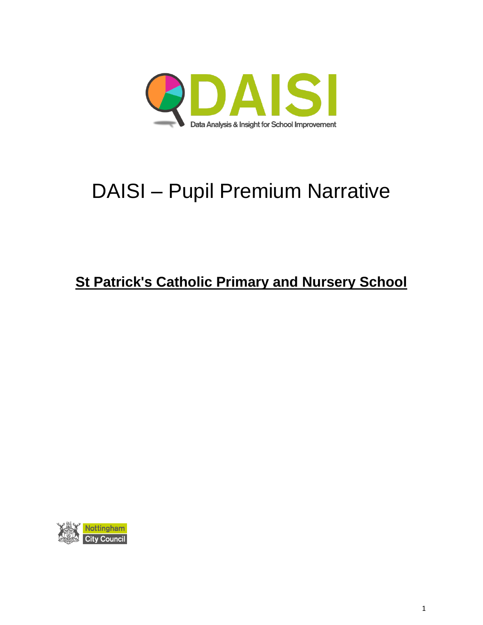

# DAISI – Pupil Premium Narrative

# **St Patrick's Catholic Primary and Nursery School**

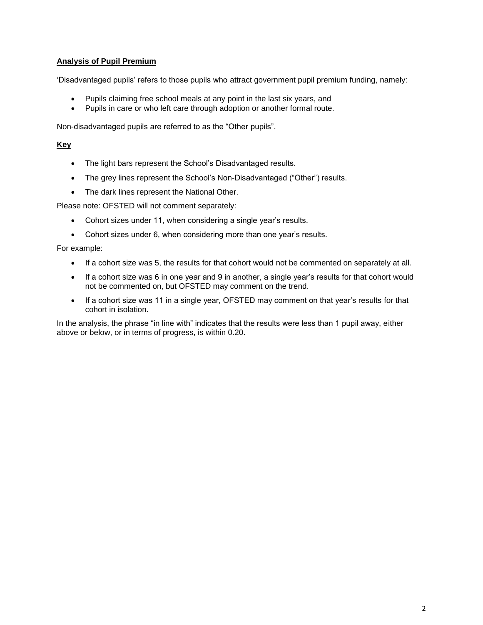# **Analysis of Pupil Premium**

'Disadvantaged pupils' refers to those pupils who attract government pupil premium funding, namely:

- Pupils claiming free school meals at any point in the last six years, and
- Pupils in care or who left care through adoption or another formal route.

Non-disadvantaged pupils are referred to as the "Other pupils".

# **Key**

- The light bars represent the School's Disadvantaged results.
- The grey lines represent the School's Non-Disadvantaged ("Other") results.
- The dark lines represent the National Other.

Please note: OFSTED will not comment separately:

- Cohort sizes under 11, when considering a single year's results.
- Cohort sizes under 6, when considering more than one year's results.

For example:

- If a cohort size was 5, the results for that cohort would not be commented on separately at all.
- If a cohort size was 6 in one year and 9 in another, a single year's results for that cohort would not be commented on, but OFSTED may comment on the trend.
- If a cohort size was 11 in a single year, OFSTED may comment on that year's results for that cohort in isolation.

In the analysis, the phrase "in line with" indicates that the results were less than 1 pupil away, either above or below, or in terms of progress, is within 0.20.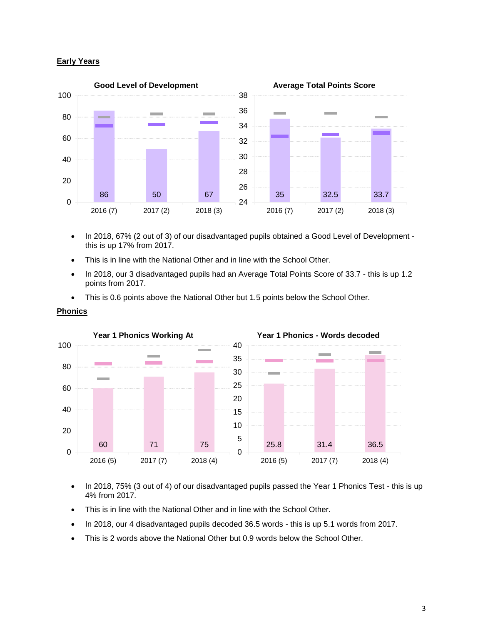#### **Early Years**



- In 2018, 67% (2 out of 3) of our disadvantaged pupils obtained a Good Level of Development this is up 17% from 2017.
- This is in line with the National Other and in line with the School Other.
- In 2018, our 3 disadvantaged pupils had an Average Total Points Score of 33.7 this is up 1.2 points from 2017.
- This is 0.6 points above the National Other but 1.5 points below the School Other.



#### **Phonics**

- In 2018, 75% (3 out of 4) of our disadvantaged pupils passed the Year 1 Phonics Test this is up 4% from 2017.
- This is in line with the National Other and in line with the School Other.
- In 2018, our 4 disadvantaged pupils decoded 36.5 words this is up 5.1 words from 2017.
- This is 2 words above the National Other but 0.9 words below the School Other.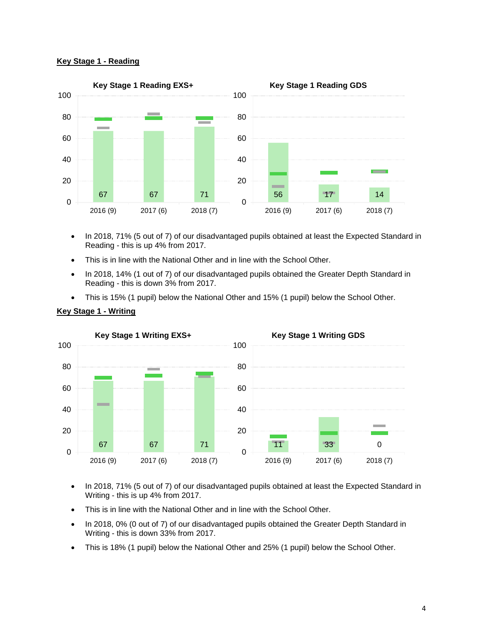#### **Key Stage 1 - Reading**



- In 2018, 71% (5 out of 7) of our disadvantaged pupils obtained at least the Expected Standard in Reading - this is up 4% from 2017.
- This is in line with the National Other and in line with the School Other.
- In 2018, 14% (1 out of 7) of our disadvantaged pupils obtained the Greater Depth Standard in Reading - this is down 3% from 2017.
- This is 15% (1 pupil) below the National Other and 15% (1 pupil) below the School Other.



#### **Key Stage 1 - Writing**

- In 2018, 71% (5 out of 7) of our disadvantaged pupils obtained at least the Expected Standard in Writing - this is up 4% from 2017.
- This is in line with the National Other and in line with the School Other.
- In 2018, 0% (0 out of 7) of our disadvantaged pupils obtained the Greater Depth Standard in Writing - this is down 33% from 2017.
- This is 18% (1 pupil) below the National Other and 25% (1 pupil) below the School Other.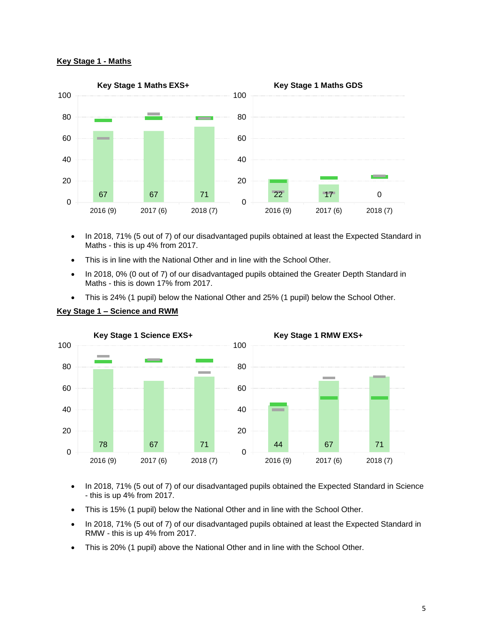#### **Key Stage 1 - Maths**



- In 2018, 71% (5 out of 7) of our disadvantaged pupils obtained at least the Expected Standard in Maths - this is up 4% from 2017.
- This is in line with the National Other and in line with the School Other.
- In 2018, 0% (0 out of 7) of our disadvantaged pupils obtained the Greater Depth Standard in Maths - this is down 17% from 2017.
- This is 24% (1 pupil) below the National Other and 25% (1 pupil) below the School Other.





- In 2018, 71% (5 out of 7) of our disadvantaged pupils obtained the Expected Standard in Science - this is up 4% from 2017.
- This is 15% (1 pupil) below the National Other and in line with the School Other.
- In 2018, 71% (5 out of 7) of our disadvantaged pupils obtained at least the Expected Standard in RMW - this is up 4% from 2017.
- This is 20% (1 pupil) above the National Other and in line with the School Other.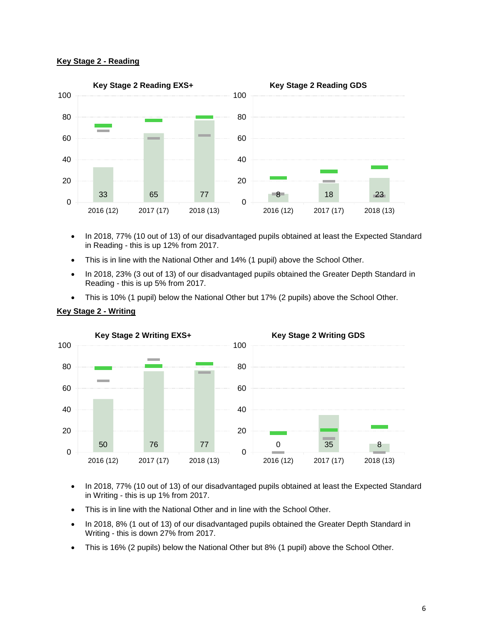#### **Key Stage 2 - Reading**



- In 2018, 77% (10 out of 13) of our disadvantaged pupils obtained at least the Expected Standard in Reading - this is up 12% from 2017.
- This is in line with the National Other and 14% (1 pupil) above the School Other.
- In 2018, 23% (3 out of 13) of our disadvantaged pupils obtained the Greater Depth Standard in Reading - this is up 5% from 2017.
- This is 10% (1 pupil) below the National Other but 17% (2 pupils) above the School Other.



#### **Key Stage 2 - Writing**

- In 2018, 77% (10 out of 13) of our disadvantaged pupils obtained at least the Expected Standard in Writing - this is up 1% from 2017.
- This is in line with the National Other and in line with the School Other.
- In 2018, 8% (1 out of 13) of our disadvantaged pupils obtained the Greater Depth Standard in Writing - this is down 27% from 2017.
- This is 16% (2 pupils) below the National Other but 8% (1 pupil) above the School Other.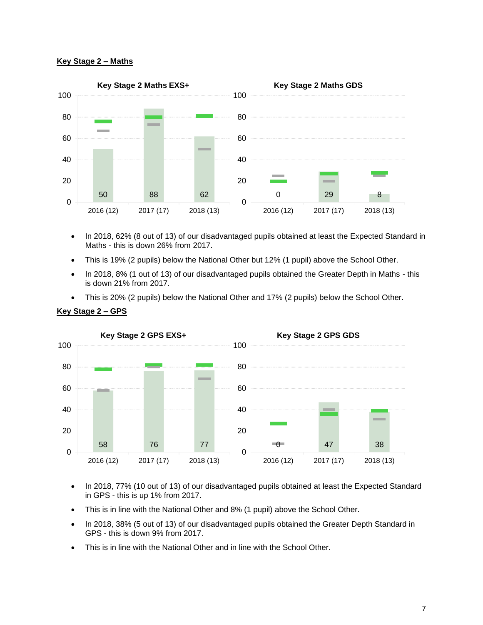## **Key Stage 2 – Maths**



- In 2018, 62% (8 out of 13) of our disadvantaged pupils obtained at least the Expected Standard in Maths - this is down 26% from 2017.
- This is 19% (2 pupils) below the National Other but 12% (1 pupil) above the School Other.
- In 2018, 8% (1 out of 13) of our disadvantaged pupils obtained the Greater Depth in Maths this is down 21% from 2017.
- This is 20% (2 pupils) below the National Other and 17% (2 pupils) below the School Other.



## **Key Stage 2 – GPS**

- In 2018, 77% (10 out of 13) of our disadvantaged pupils obtained at least the Expected Standard in GPS - this is up 1% from 2017.
- This is in line with the National Other and 8% (1 pupil) above the School Other.
- In 2018, 38% (5 out of 13) of our disadvantaged pupils obtained the Greater Depth Standard in GPS - this is down 9% from 2017.
- This is in line with the National Other and in line with the School Other.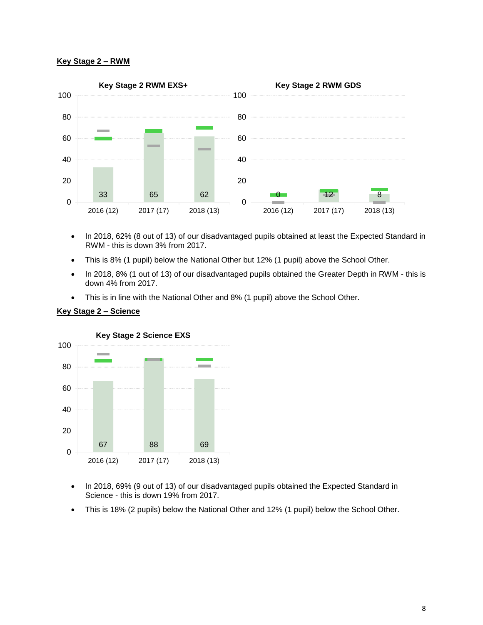#### **Key Stage 2 – RWM**



- In 2018, 62% (8 out of 13) of our disadvantaged pupils obtained at least the Expected Standard in RWM - this is down 3% from 2017.
- This is 8% (1 pupil) below the National Other but 12% (1 pupil) above the School Other.
- In 2018, 8% (1 out of 13) of our disadvantaged pupils obtained the Greater Depth in RWM this is down 4% from 2017.
- This is in line with the National Other and 8% (1 pupil) above the School Other.



#### **Key Stage 2 – Science**

- In 2018, 69% (9 out of 13) of our disadvantaged pupils obtained the Expected Standard in Science - this is down 19% from 2017.
- This is 18% (2 pupils) below the National Other and 12% (1 pupil) below the School Other.